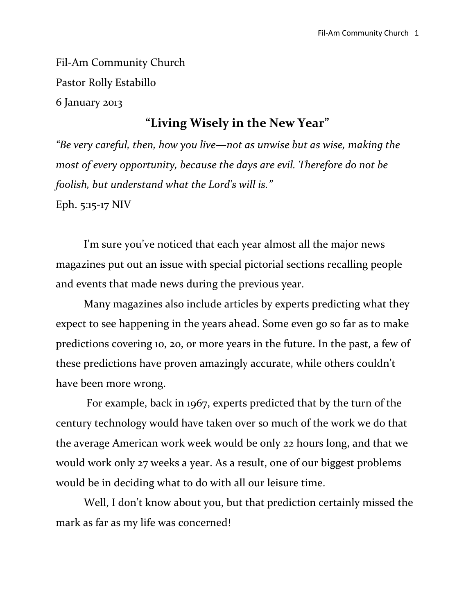Fil-Am Community Church Pastor Rolly Estabillo 6 January 2013

## **"Living Wisely in the New Year"**

*"Be very careful, then, how you live—not as unwise but as wise, making the most of every opportunity, because the days are evil. Therefore do not be foolish, but understand what the Lord's will is."* Eph. 5:15-17 NIV

I'm sure you've noticed that each year almost all the major news magazines put out an issue with special pictorial sections recalling people and events that made news during the previous year.

Many magazines also include articles by experts predicting what they expect to see happening in the years ahead. Some even go so far as to make predictions covering 10, 20, or more years in the future. In the past, a few of these predictions have proven amazingly accurate, while others couldn't have been more wrong.

For example, back in 1967, experts predicted that by the turn of the century technology would have taken over so much of the work we do that the average American work week would be only 22 hours long, and that we would work only 27 weeks a year. As a result, one of our biggest problems would be in deciding what to do with all our leisure time.

Well, I don't know about you, but that prediction certainly missed the mark as far as my life was concerned!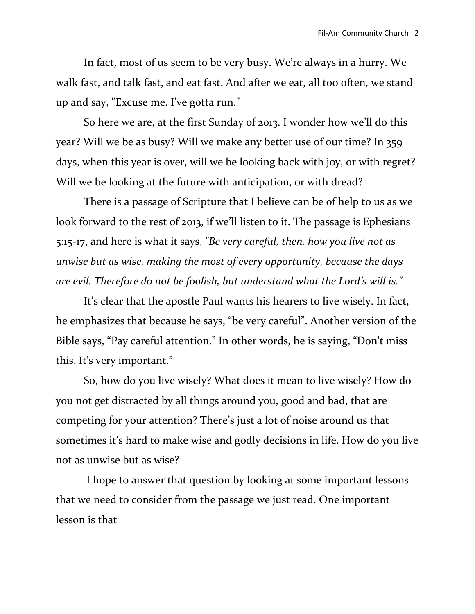In fact, most of us seem to be very busy. We're always in a hurry. We walk fast, and talk fast, and eat fast. And after we eat, all too often, we stand up and say, "Excuse me. I've gotta run."

So here we are, at the first Sunday of 2013. I wonder how we'll do this year? Will we be as busy? Will we make any better use of our time? In 359 days, when this year is over, will we be looking back with joy, or with regret? Will we be looking at the future with anticipation, or with dread?

There is a passage of Scripture that I believe can be of help to us as we look forward to the rest of 2013, if we'll listen to it. The passage is Ephesians 5:15-17, and here is what it says, *"Be very careful, then, how you live not as unwise but as wise, making the most of every opportunity, because the days are evil. Therefore do not be foolish, but understand what the Lord's will is."*

It's clear that the apostle Paul wants his hearers to live wisely. In fact, he emphasizes that because he says, "be very careful". Another version of the Bible says, "Pay careful attention." In other words, he is saying, "Don't miss this. It's very important."

So, how do you live wisely? What does it mean to live wisely? How do you not get distracted by all things around you, good and bad, that are competing for your attention? There's just a lot of noise around us that sometimes it's hard to make wise and godly decisions in life. How do you live not as unwise but as wise?

I hope to answer that question by looking at some important lessons that we need to consider from the passage we just read. One important lesson is that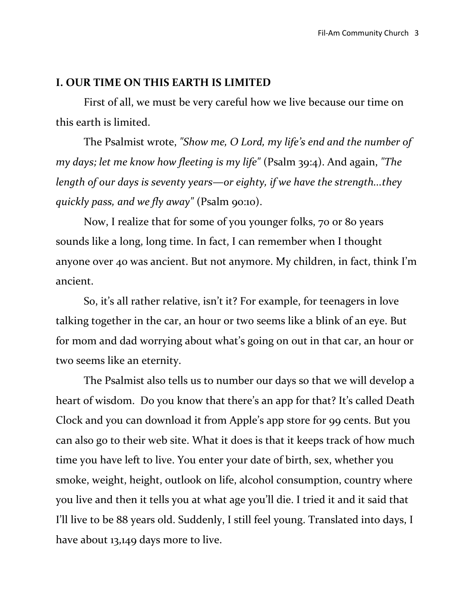## **I. OUR TIME ON THIS EARTH IS LIMITED**

First of all, we must be very careful how we live because our time on this earth is limited.

The Psalmist wrote, *"Show me, O Lord, my life's end and the number of my days; let me know how fleeting is my life"* (Psalm 39:4). And again, *"The length of our days is seventy years—or eighty, if we have the strength...they quickly pass, and we fly away"* (Psalm 90:10).

Now, I realize that for some of you younger folks, 70 or 80 years sounds like a long, long time. In fact, I can remember when I thought anyone over 40 was ancient. But not anymore. My children, in fact, think I'm ancient.

So, it's all rather relative, isn't it? For example, for teenagers in love talking together in the car, an hour or two seems like a blink of an eye. But for mom and dad worrying about what's going on out in that car, an hour or two seems like an eternity.

The Psalmist also tells us to number our days so that we will develop a heart of wisdom. Do you know that there's an app for that? It's called Death Clock and you can download it from Apple's app store for 99 cents. But you can also go to their web site. What it does is that it keeps track of how much time you have left to live. You enter your date of birth, sex, whether you smoke, weight, height, outlook on life, alcohol consumption, country where you live and then it tells you at what age you'll die. I tried it and it said that I'll live to be 88 years old. Suddenly, I still feel young. Translated into days, I have about 13,149 days more to live.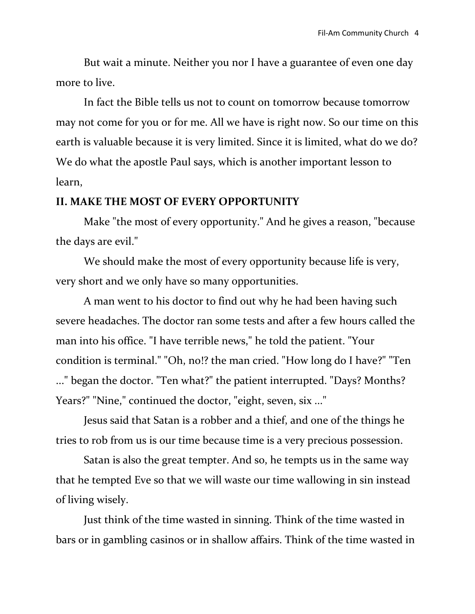But wait a minute. Neither you nor I have a guarantee of even one day more to live.

In fact the Bible tells us not to count on tomorrow because tomorrow may not come for you or for me. All we have is right now. So our time on this earth is valuable because it is very limited. Since it is limited, what do we do? We do what the apostle Paul says, which is another important lesson to learn,

## **II. MAKE THE MOST OF EVERY OPPORTUNITY**

Make "the most of every opportunity." And he gives a reason, "because the days are evil."

We should make the most of every opportunity because life is very, very short and we only have so many opportunities.

A man went to his doctor to find out why he had been having such severe headaches. The doctor ran some tests and after a few hours called the man into his office. "I have terrible news," he told the patient. "Your condition is terminal." "Oh, no!? the man cried. "How long do I have?" "Ten ..." began the doctor. "Ten what?" the patient interrupted. "Days? Months? Years?" "Nine," continued the doctor, "eight, seven, six ..."

Jesus said that Satan is a robber and a thief, and one of the things he tries to rob from us is our time because time is a very precious possession.

Satan is also the great tempter. And so, he tempts us in the same way that he tempted Eve so that we will waste our time wallowing in sin instead of living wisely.

Just think of the time wasted in sinning. Think of the time wasted in bars or in gambling casinos or in shallow affairs. Think of the time wasted in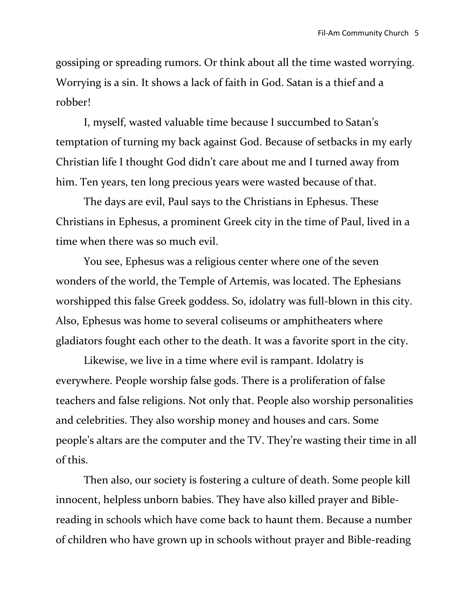gossiping or spreading rumors. Or think about all the time wasted worrying. Worrying is a sin. It shows a lack of faith in God. Satan is a thief and a robber!

I, myself, wasted valuable time because I succumbed to Satan's temptation of turning my back against God. Because of setbacks in my early Christian life I thought God didn't care about me and I turned away from him. Ten years, ten long precious years were wasted because of that.

The days are evil, Paul says to the Christians in Ephesus. These Christians in Ephesus, a prominent Greek city in the time of Paul, lived in a time when there was so much evil.

You see, Ephesus was a religious center where one of the seven wonders of the world, the Temple of Artemis, was located. The Ephesians worshipped this false Greek goddess. So, idolatry was full-blown in this city. Also, Ephesus was home to several coliseums or amphitheaters where gladiators fought each other to the death. It was a favorite sport in the city.

Likewise, we live in a time where evil is rampant. Idolatry is everywhere. People worship false gods. There is a proliferation of false teachers and false religions. Not only that. People also worship personalities and celebrities. They also worship money and houses and cars. Some people's altars are the computer and the TV. They're wasting their time in all of this.

Then also, our society is fostering a culture of death. Some people kill innocent, helpless unborn babies. They have also killed prayer and Biblereading in schools which have come back to haunt them. Because a number of children who have grown up in schools without prayer and Bible-reading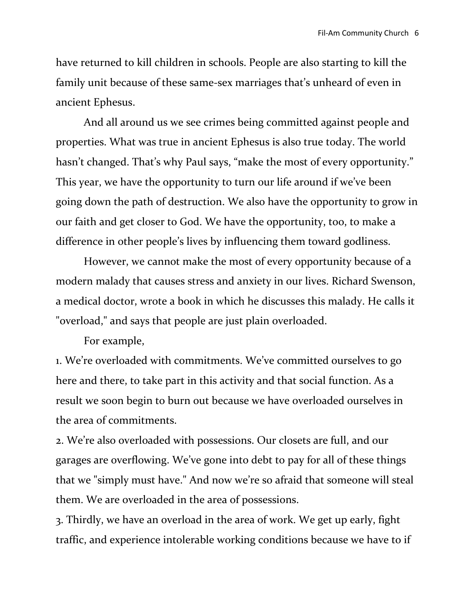have returned to kill children in schools. People are also starting to kill the family unit because of these same-sex marriages that's unheard of even in ancient Ephesus.

And all around us we see crimes being committed against people and properties. What was true in ancient Ephesus is also true today. The world hasn't changed. That's why Paul says, "make the most of every opportunity." This year, we have the opportunity to turn our life around if we've been going down the path of destruction. We also have the opportunity to grow in our faith and get closer to God. We have the opportunity, too, to make a difference in other people's lives by influencing them toward godliness.

However, we cannot make the most of every opportunity because of a modern malady that causes stress and anxiety in our lives. Richard Swenson, a medical doctor, wrote a book in which he discusses this malady. He calls it "overload," and says that people are just plain overloaded.

For example,

1. We're overloaded with commitments. We've committed ourselves to go here and there, to take part in this activity and that social function. As a result we soon begin to burn out because we have overloaded ourselves in the area of commitments.

2. We're also overloaded with possessions. Our closets are full, and our garages are overflowing. We've gone into debt to pay for all of these things that we "simply must have." And now we're so afraid that someone will steal them. We are overloaded in the area of possessions.

3. Thirdly, we have an overload in the area of work. We get up early, fight traffic, and experience intolerable working conditions because we have to if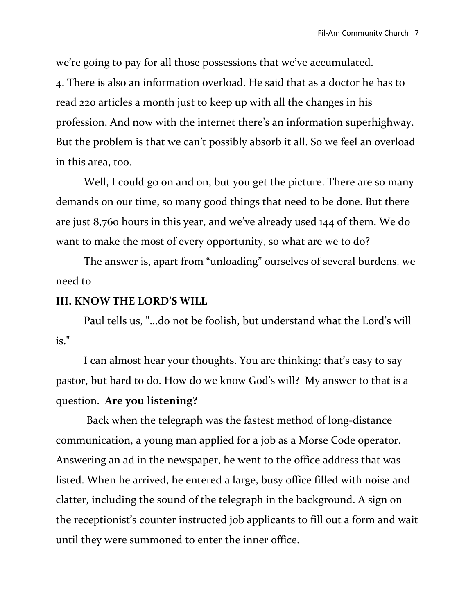we're going to pay for all those possessions that we've accumulated. 4. There is also an information overload. He said that as a doctor he has to read 220 articles a month just to keep up with all the changes in his profession. And now with the internet there's an information superhighway. But the problem is that we can't possibly absorb it all. So we feel an overload in this area, too.

Well, I could go on and on, but you get the picture. There are so many demands on our time, so many good things that need to be done. But there are just 8,760 hours in this year, and we've already used 144 of them. We do want to make the most of every opportunity, so what are we to do?

The answer is, apart from "unloading" ourselves of several burdens, we need to

## **III. KNOW THE LORD'S WILL**

Paul tells us, "...do not be foolish, but understand what the Lord's will is."

I can almost hear your thoughts. You are thinking: that's easy to say pastor, but hard to do. How do we know God's will? My answer to that is a question. **Are you listening?**

Back when the telegraph was the fastest method of long-distance communication, a young man applied for a job as a Morse Code operator. Answering an ad in the newspaper, he went to the office address that was listed. When he arrived, he entered a large, busy office filled with noise and clatter, including the sound of the telegraph in the background. A sign on the receptionist's counter instructed job applicants to fill out a form and wait until they were summoned to enter the inner office.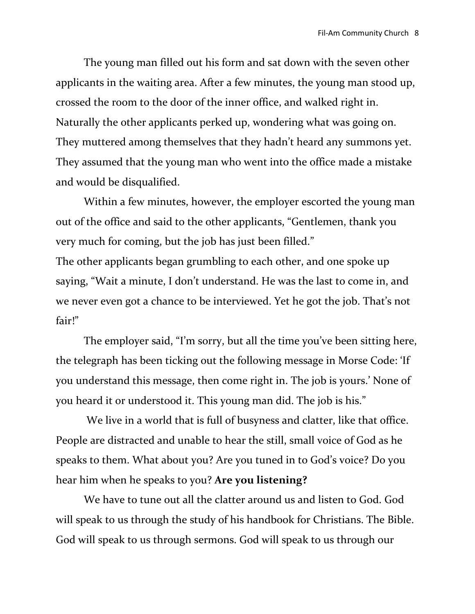The young man filled out his form and sat down with the seven other applicants in the waiting area. After a few minutes, the young man stood up, crossed the room to the door of the inner office, and walked right in. Naturally the other applicants perked up, wondering what was going on. They muttered among themselves that they hadn't heard any summons yet. They assumed that the young man who went into the office made a mistake and would be disqualified.

Within a few minutes, however, the employer escorted the young man out of the office and said to the other applicants, "Gentlemen, thank you very much for coming, but the job has just been filled."

The other applicants began grumbling to each other, and one spoke up saying, "Wait a minute, I don't understand. He was the last to come in, and we never even got a chance to be interviewed. Yet he got the job. That's not fair!"

The employer said, "I'm sorry, but all the time you've been sitting here, the telegraph has been ticking out the following message in Morse Code: 'If you understand this message, then come right in. The job is yours.' None of you heard it or understood it. This young man did. The job is his."

We live in a world that is full of busyness and clatter, like that office. People are distracted and unable to hear the still, small voice of God as he speaks to them. What about you? Are you tuned in to God's voice? Do you hear him when he speaks to you? **Are you listening?**

We have to tune out all the clatter around us and listen to God. God will speak to us through the study of his handbook for Christians. The Bible. God will speak to us through sermons. God will speak to us through our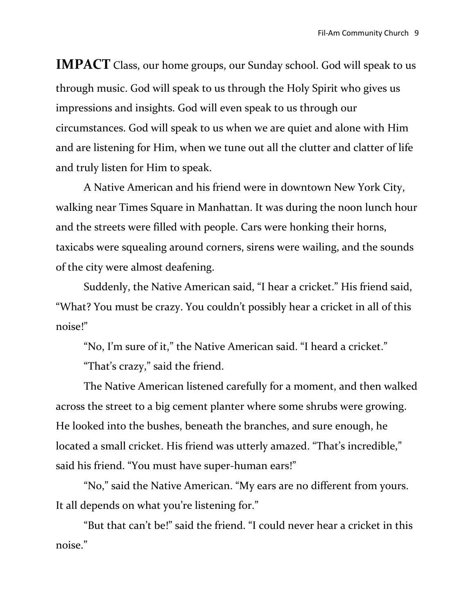**IMPACT** Class, our home groups, our Sunday school. God will speak to us through music. God will speak to us through the Holy Spirit who gives us impressions and insights. God will even speak to us through our circumstances. God will speak to us when we are quiet and alone with Him and are listening for Him, when we tune out all the clutter and clatter of life and truly listen for Him to speak.

A Native American and his friend were in downtown New York City, walking near Times Square in Manhattan. It was during the noon lunch hour and the streets were filled with people. Cars were honking their horns, taxicabs were squealing around corners, sirens were wailing, and the sounds of the city were almost deafening.

Suddenly, the Native American said, "I hear a cricket." His friend said, "What? You must be crazy. You couldn't possibly hear a cricket in all of this noise!"

"No, I'm sure of it," the Native American said. "I heard a cricket."

"That's crazy," said the friend.

The Native American listened carefully for a moment, and then walked across the street to a big cement planter where some shrubs were growing. He looked into the bushes, beneath the branches, and sure enough, he located a small cricket. His friend was utterly amazed. "That's incredible," said his friend. "You must have super-human ears!"

"No," said the Native American. "My ears are no different from yours. It all depends on what you're listening for."

"But that can't be!" said the friend. "I could never hear a cricket in this noise."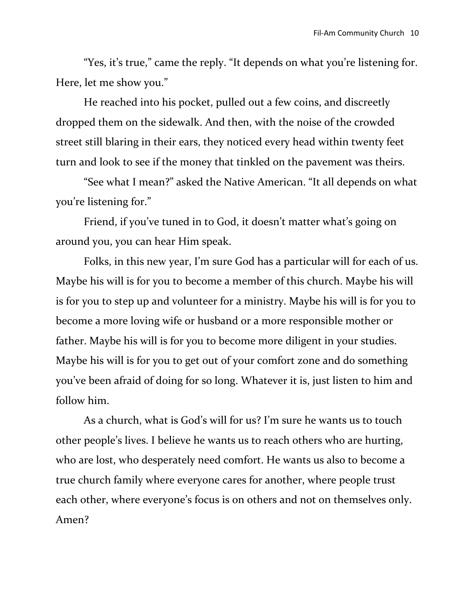"Yes, it's true," came the reply. "It depends on what you're listening for. Here, let me show you."

He reached into his pocket, pulled out a few coins, and discreetly dropped them on the sidewalk. And then, with the noise of the crowded street still blaring in their ears, they noticed every head within twenty feet turn and look to see if the money that tinkled on the pavement was theirs.

"See what I mean?" asked the Native American. "It all depends on what you're listening for."

Friend, if you've tuned in to God, it doesn't matter what's going on around you, you can hear Him speak.

Folks, in this new year, I'm sure God has a particular will for each of us. Maybe his will is for you to become a member of this church. Maybe his will is for you to step up and volunteer for a ministry. Maybe his will is for you to become a more loving wife or husband or a more responsible mother or father. Maybe his will is for you to become more diligent in your studies. Maybe his will is for you to get out of your comfort zone and do something you've been afraid of doing for so long. Whatever it is, just listen to him and follow him.

As a church, what is God's will for us? I'm sure he wants us to touch other people's lives. I believe he wants us to reach others who are hurting, who are lost, who desperately need comfort. He wants us also to become a true church family where everyone cares for another, where people trust each other, where everyone's focus is on others and not on themselves only. Amen?